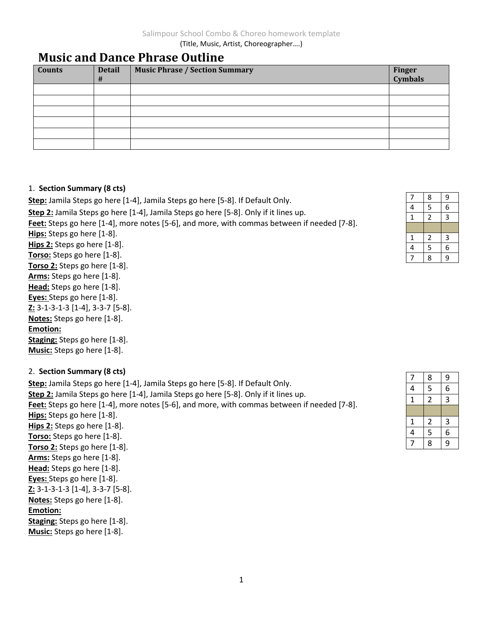(Title, Music, Artist, Choreographer….)

# **Music and Dance Phrase Outline**

| <b>Counts</b> | <b>Detail</b><br># | <b>Music Phrase / Section Summary</b> | Finger<br>Cymbals |
|---------------|--------------------|---------------------------------------|-------------------|
|               |                    |                                       |                   |
|               |                    |                                       |                   |
|               |                    |                                       |                   |
|               |                    |                                       |                   |
|               |                    |                                       |                   |
|               |                    |                                       |                   |
|               |                    |                                       |                   |

#### 1. **Section Summary (8 cts)**

**Step:** Jamila Steps go here [1-4], Jamila Steps go here [5-8]. If Default Only. **Step 2:** Jamila Steps go here [1-4], Jamila Steps go here [5-8]. Only if it lines up. **Feet:** Steps go here [1-4], more notes [5-6], and more, with commas between if needed [7-8]. **Hips:** Steps go here [1-8]. **Hips 2:** Steps go here [1-8]. **Torso:** Steps go here [1-8]. **Torso 2:** Steps go here [1-8]. **Arms:** Steps go here [1-8]. **Head:** Steps go here [1-8]. **Eyes:** Steps go here [1-8]. **Z:** 3-1-3-1-3 [1-4], 3-3-7 [5-8]. **Notes:** Steps go here [1-8]. **Emotion:**

**Staging:** Steps go here [1-8]. **Music:** Steps go here [1-8].

### 2. **Section Summary (8 cts)**

**Step:** Jamila Steps go here [1-4], Jamila Steps go here [5-8]. If Default Only. **Step 2:** Jamila Steps go here [1-4], Jamila Steps go here [5-8]. Only if it lines up. **Feet:** Steps go here [1-4], more notes [5-6], and more, with commas between if needed [7-8]. **Hips:** Steps go here [1-8]. **Hips 2:** Steps go here [1-8]. **Torso:** Steps go here [1-8]. **Torso 2:** Steps go here [1-8]. **Arms:** Steps go here [1-8]. **Head:** Steps go here [1-8]. **Eyes:** Steps go here [1-8]. **Z:** 3-1-3-1-3 [1-4], 3-3-7 [5-8]. **Notes:** Steps go here [1-8]. **Emotion: Staging:** Steps go here [1-8]. **Music:** Steps go here [1-8].

| 7              | 8                       | 9              |
|----------------|-------------------------|----------------|
| 4              | $\overline{\mathbf{5}}$ | 6              |
| $\mathbf 1$    | $\overline{c}$          | $\overline{3}$ |
|                |                         |                |
| $\mathbf{1}$   | $\overline{\mathbf{c}}$ | 3              |
| $\overline{4}$ | 5                       | 6              |
|                | 8                       | $\overline{9}$ |

| 7              | 8                       | 9              |
|----------------|-------------------------|----------------|
| 4              | $\overline{5}$          | 6              |
| $\mathbf 1$    | $\overline{2}$          | $\overline{3}$ |
|                |                         |                |
| $\mathbf{1}$   | $\overline{\mathbf{c}}$ | 3              |
| $\overline{4}$ | 5                       | 6              |
|                | 8                       | $\overline{g}$ |